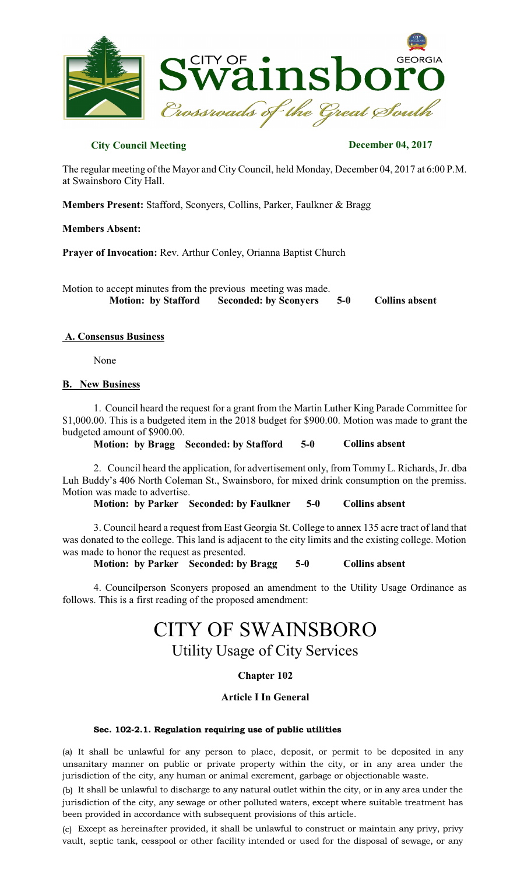

## **City Council Meeting December 04, 2017**

The regular meeting of the Mayor and City Council, held Monday, December 04, 2017 at 6:00 P.M. at Swainsboro City Hall.

**Members Present:** Stafford, Sconyers, Collins, Parker, Faulkner & Bragg

#### **Members Absent:**

**Prayer of Invocation:** Rev. Arthur Conley, Orianna Baptist Church

Motion to accept minutes from the previous meeting was made.  **Motion: by Stafford Seconded: by Sconyers 5-0 Collins absent**

#### **A. Consensus Business**

None

#### **B. New Business**

1. Council heard the request for a grant from the Martin Luther King Parade Committee for \$1,000.00. This is a budgeted item in the 2018 budget for \$900.00. Motion was made to grant the budgeted amount of \$900.00.

**Motion: by Bragg Seconded: by Stafford 5-0 Collins absent**

2. Council heard the application, for advertisement only, from Tommy L. Richards, Jr. dba Luh Buddy's 406 North Coleman St., Swainsboro, for mixed drink consumption on the premiss. Motion was made to advertise.

**Motion: by Parker Seconded: by Faulkner 5-0 Collins absent**

3. Council heard a request from East Georgia St. College to annex 135 acre tract of land that was donated to the college. This land is adjacent to the city limits and the existing college. Motion was made to honor the request as presented.

**Motion: by Parker Seconded: by Bragg 5-0 Collins absent**

4. Councilperson Sconyers proposed an amendment to the Utility Usage Ordinance as follows. This is a first reading of the proposed amendment:

# CITY OF SWAINSBORO

Utility Usage of City Services

## **Chapter 102**

## **Article I In General**

#### Sec. 102-2.1. Regulation requiring use of public utilities

(a) It shall be unlawful for any person to place, deposit, or permit to be deposited in any unsanitary manner on public or private property within the city, or in any area under the jurisdiction of the city, any human or animal excrement, garbage or objectionable waste.

(b) It shall be unlawful to discharge to any natural outlet within the city, or in any area under the jurisdiction of the city, any sewage or other polluted waters, except where suitable treatment has been provided in accordance with subsequent provisions of this article.

(c) Except as hereinafter provided, it shall be unlawful to construct or maintain any privy, privy vault, septic tank, cesspool or other facility intended or used for the disposal of sewage, or any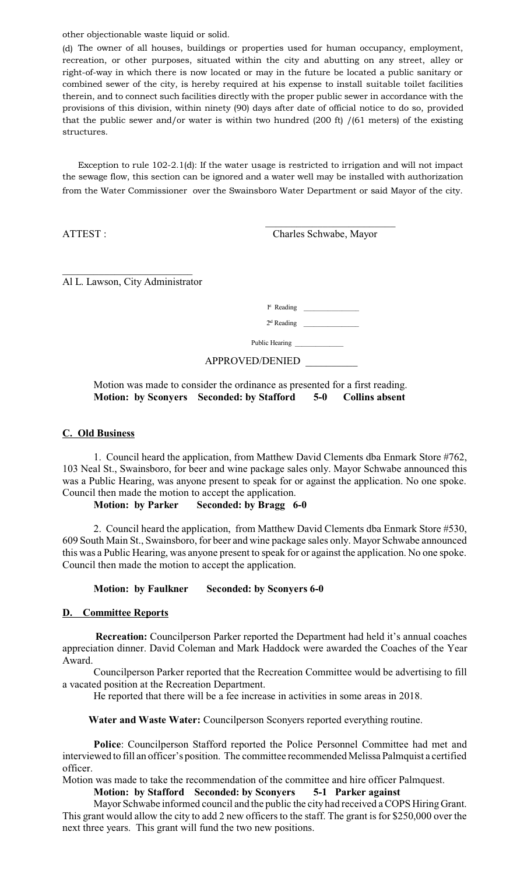other objectionable waste liquid or solid.

(d) The owner of all houses, buildings or properties used for human occupancy, employment, recreation, or other purposes, situated within the city and abutting on any street, alley or right-of-way in which there is now located or may in the future be located a public sanitary or combined sewer of the city, is hereby required at his expense to install suitable toilet facilities therein, and to connect such facilities directly with the proper public sewer in accordance with the provisions of this division, within ninety (90) days after date of official notice to do so, provided that the public sewer and/or water is within two hundred (200 ft) /(61 meters) of the existing structures.

Exception to rule 102-2.1(d): If the water usage is restricted to irrigation and will not impact the sewage flow, this section can be ignored and a water well may be installed with authorization from the Water Commissioner over the Swainsboro Water Department or said Mayor of the city.

 $\mathcal{L}_\text{max}$  and  $\mathcal{L}_\text{max}$  and  $\mathcal{L}_\text{max}$  and  $\mathcal{L}_\text{max}$  and  $\mathcal{L}_\text{max}$ 

ATTEST : Charles Schwabe, Mayor

\_\_\_\_\_\_\_\_\_\_\_\_\_\_\_\_\_\_\_\_\_\_\_\_\_ Al L. Lawson, City Administrator

 $1<sub>st</sub>$ Reading \_\_\_\_\_\_\_\_\_\_\_\_\_\_\_\_

 $2<sup>d</sup>$ Reading \_\_\_\_\_\_\_\_\_\_\_\_\_\_\_\_

Public Hearing \_\_\_\_\_\_\_\_\_\_\_\_\_\_

APPROVED/DENIED \_\_\_\_\_\_\_\_\_\_

## Motion was made to consider the ordinance as presented for a first reading. **Motion: by Sconyers Seconded: by Stafford 5-0 Collins absent**

### **C. Old Business**

1. Council heard the application, from Matthew David Clements dba Enmark Store #762, 103 Neal St., Swainsboro, for beer and wine package sales only. Mayor Schwabe announced this was a Public Hearing, was anyone present to speak for or against the application. No one spoke. Council then made the motion to accept the application.

**Motion: by Parker Seconded: by Bragg 6-0** 

2. Council heard the application, from Matthew David Clements dba Enmark Store #530, 609 South Main St., Swainsboro, for beer and wine package sales only. Mayor Schwabe announced this was a Public Hearing, was anyone present to speak for or against the application. No one spoke. Council then made the motion to accept the application.

## **Motion: by Faulkner Seconded: by Sconyers 6-0**

## **D. Committee Reports**

**Recreation:** Councilperson Parker reported the Department had held it's annual coaches appreciation dinner. David Coleman and Mark Haddock were awarded the Coaches of the Year Award.

Councilperson Parker reported that the Recreation Committee would be advertising to fill a vacated position at the Recreation Department.

He reported that there will be a fee increase in activities in some areas in 2018.

**Water and Waste Water:** Councilperson Sconyers reported everything routine.

**Police**: Councilperson Stafford reported the Police Personnel Committee had met and interviewed to fill an officer's position. The committee recommended Melissa Palmquist a certified officer.

Motion was made to take the recommendation of the committee and hire officer Palmquest.

## **Motion: by Stafford Seconded: by Sconyers 5-1 Parker against**

Mayor Schwabe informed council and the public the city had received a COPS Hiring Grant. This grant would allow the city to add 2 new officers to the staff. The grant is for \$250,000 over the next three years. This grant will fund the two new positions.